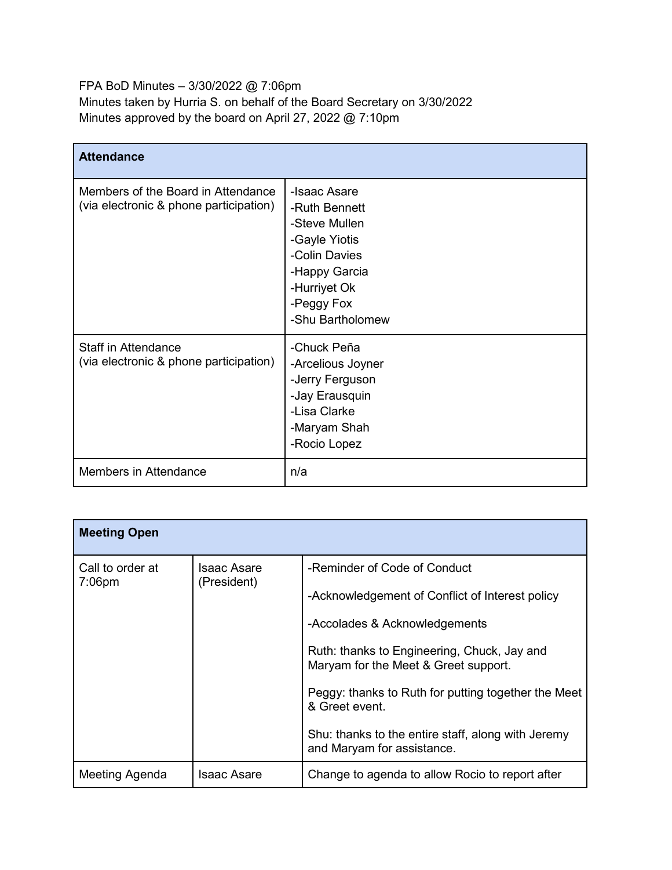FPA BoD Minutes – 3/30/2022 @ 7:06pm Minutes taken by Hurria S. on behalf of the Board Secretary on 3/30/2022 Minutes approved by the board on April 27, 2022 @ 7:10pm

| <b>Attendance</b>                                                            |                                                                                                                                                     |
|------------------------------------------------------------------------------|-----------------------------------------------------------------------------------------------------------------------------------------------------|
| Members of the Board in Attendance<br>(via electronic & phone participation) | -Isaac Asare<br>-Ruth Bennett<br>-Steve Mullen<br>-Gayle Yiotis<br>-Colin Davies<br>-Happy Garcia<br>-Hurriyet Ok<br>-Peggy Fox<br>-Shu Bartholomew |
| <b>Staff in Attendance</b><br>(via electronic & phone participation)         | -Chuck Peña<br>-Arcelious Joyner<br>-Jerry Ferguson<br>-Jay Erausquin<br>-Lisa Clarke<br>-Maryam Shah<br>-Rocio Lopez                               |
| Members in Attendance                                                        | n/a                                                                                                                                                 |

| <b>Meeting Open</b>           |                                   |                                                                                                                                                                                                                                                                                                                                                                      |
|-------------------------------|-----------------------------------|----------------------------------------------------------------------------------------------------------------------------------------------------------------------------------------------------------------------------------------------------------------------------------------------------------------------------------------------------------------------|
| Call to order at<br>$7:06$ pm | <b>Isaac Asare</b><br>(President) | -Reminder of Code of Conduct<br>-Acknowledgement of Conflict of Interest policy<br>-Accolades & Acknowledgements<br>Ruth: thanks to Engineering, Chuck, Jay and<br>Maryam for the Meet & Greet support.<br>Peggy: thanks to Ruth for putting together the Meet<br>& Greet event.<br>Shu: thanks to the entire staff, along with Jeremy<br>and Maryam for assistance. |
| Meeting Agenda                | <b>Isaac Asare</b>                | Change to agenda to allow Rocio to report after                                                                                                                                                                                                                                                                                                                      |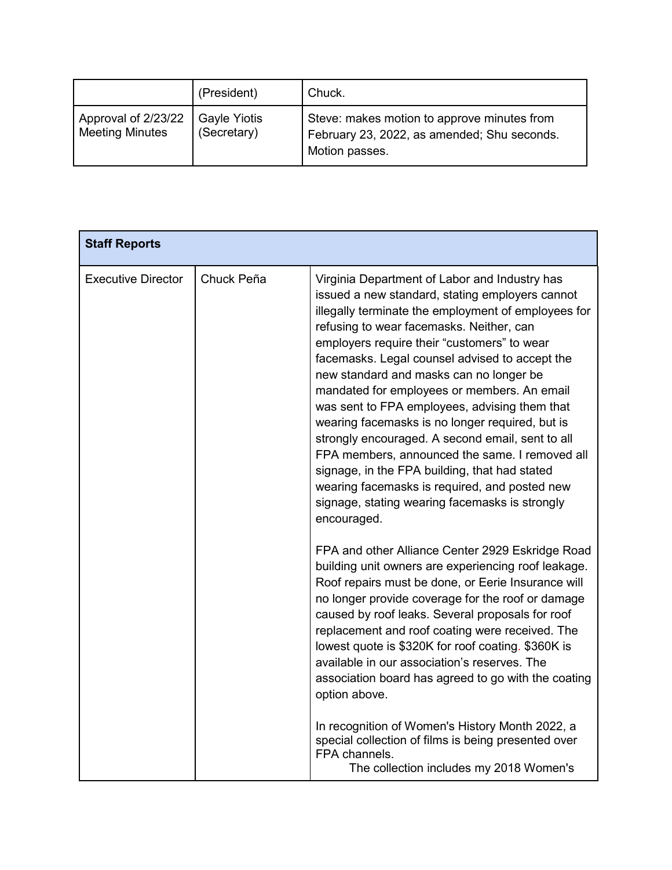|                                               | (President)                        | Chuck.                                                                                                       |
|-----------------------------------------------|------------------------------------|--------------------------------------------------------------------------------------------------------------|
| Approval of 2/23/22<br><b>Meeting Minutes</b> | <b>Gayle Yiotis</b><br>(Secretary) | Steve: makes motion to approve minutes from<br>February 23, 2022, as amended; Shu seconds.<br>Motion passes. |

| <b>Staff Reports</b>      |            |                                                                                                                                                                                                                                                                                                                                                                                                                                                                                                                                                                                                                                                                                                                                                                             |
|---------------------------|------------|-----------------------------------------------------------------------------------------------------------------------------------------------------------------------------------------------------------------------------------------------------------------------------------------------------------------------------------------------------------------------------------------------------------------------------------------------------------------------------------------------------------------------------------------------------------------------------------------------------------------------------------------------------------------------------------------------------------------------------------------------------------------------------|
| <b>Executive Director</b> | Chuck Peña | Virginia Department of Labor and Industry has<br>issued a new standard, stating employers cannot<br>illegally terminate the employment of employees for<br>refusing to wear facemasks. Neither, can<br>employers require their "customers" to wear<br>facemasks. Legal counsel advised to accept the<br>new standard and masks can no longer be<br>mandated for employees or members. An email<br>was sent to FPA employees, advising them that<br>wearing facemasks is no longer required, but is<br>strongly encouraged. A second email, sent to all<br>FPA members, announced the same. I removed all<br>signage, in the FPA building, that had stated<br>wearing facemasks is required, and posted new<br>signage, stating wearing facemasks is strongly<br>encouraged. |
|                           |            | FPA and other Alliance Center 2929 Eskridge Road<br>building unit owners are experiencing roof leakage.<br>Roof repairs must be done, or Eerie Insurance will<br>no longer provide coverage for the roof or damage<br>caused by roof leaks. Several proposals for roof<br>replacement and roof coating were received. The<br>lowest quote is \$320K for roof coating. \$360K is<br>available in our association's reserves. The<br>association board has agreed to go with the coating<br>option above.<br>In recognition of Women's History Month 2022, a<br>special collection of films is being presented over<br>FPA channels.<br>The collection includes my 2018 Women's                                                                                               |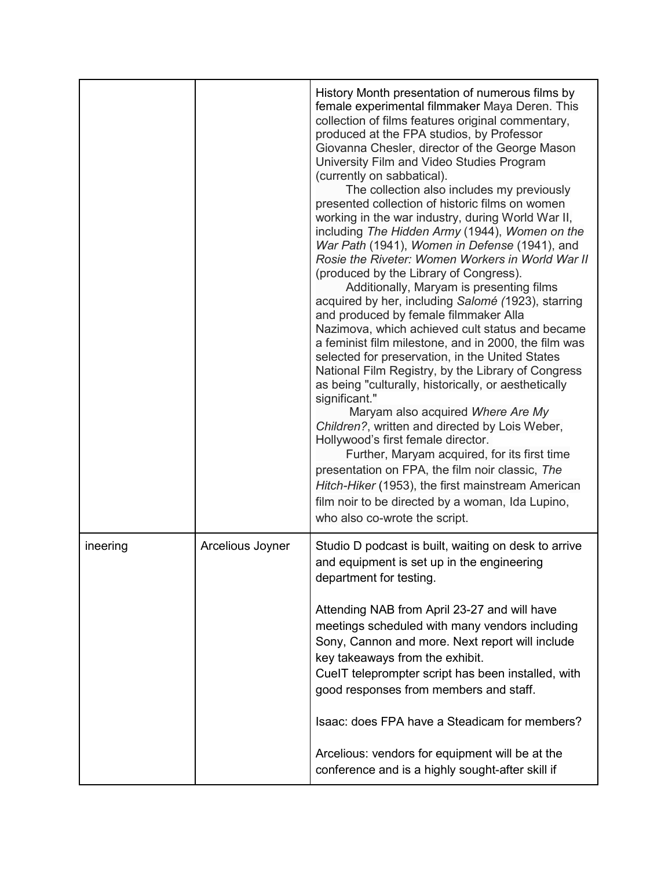|          |                  | History Month presentation of numerous films by<br>female experimental filmmaker Maya Deren. This<br>collection of films features original commentary,<br>produced at the FPA studios, by Professor<br>Giovanna Chesler, director of the George Mason<br>University Film and Video Studies Program<br>(currently on sabbatical).<br>The collection also includes my previously<br>presented collection of historic films on women<br>working in the war industry, during World War II,<br>including The Hidden Army (1944), Women on the<br>War Path (1941), Women in Defense (1941), and<br>Rosie the Riveter: Women Workers in World War II<br>(produced by the Library of Congress).<br>Additionally, Maryam is presenting films<br>acquired by her, including Salomé (1923), starring<br>and produced by female filmmaker Alla<br>Nazimova, which achieved cult status and became<br>a feminist film milestone, and in 2000, the film was<br>selected for preservation, in the United States<br>National Film Registry, by the Library of Congress<br>as being "culturally, historically, or aesthetically<br>significant."<br>Maryam also acquired Where Are My<br>Children?, written and directed by Lois Weber,<br>Hollywood's first female director.<br>Further, Maryam acquired, for its first time<br>presentation on FPA, the film noir classic, The<br>Hitch-Hiker (1953), the first mainstream American<br>film noir to be directed by a woman, Ida Lupino,<br>who also co-wrote the script. |
|----------|------------------|-----------------------------------------------------------------------------------------------------------------------------------------------------------------------------------------------------------------------------------------------------------------------------------------------------------------------------------------------------------------------------------------------------------------------------------------------------------------------------------------------------------------------------------------------------------------------------------------------------------------------------------------------------------------------------------------------------------------------------------------------------------------------------------------------------------------------------------------------------------------------------------------------------------------------------------------------------------------------------------------------------------------------------------------------------------------------------------------------------------------------------------------------------------------------------------------------------------------------------------------------------------------------------------------------------------------------------------------------------------------------------------------------------------------------------------------------------------------------------------------------------------|
| ineering | Arcelious Joyner | Studio D podcast is built, waiting on desk to arrive<br>and equipment is set up in the engineering<br>department for testing.                                                                                                                                                                                                                                                                                                                                                                                                                                                                                                                                                                                                                                                                                                                                                                                                                                                                                                                                                                                                                                                                                                                                                                                                                                                                                                                                                                             |
|          |                  | Attending NAB from April 23-27 and will have<br>meetings scheduled with many vendors including<br>Sony, Cannon and more. Next report will include<br>key takeaways from the exhibit.<br>CueIT teleprompter script has been installed, with<br>good responses from members and staff.                                                                                                                                                                                                                                                                                                                                                                                                                                                                                                                                                                                                                                                                                                                                                                                                                                                                                                                                                                                                                                                                                                                                                                                                                      |
|          |                  | Isaac: does FPA have a Steadicam for members?                                                                                                                                                                                                                                                                                                                                                                                                                                                                                                                                                                                                                                                                                                                                                                                                                                                                                                                                                                                                                                                                                                                                                                                                                                                                                                                                                                                                                                                             |
|          |                  | Arcelious: vendors for equipment will be at the<br>conference and is a highly sought-after skill if                                                                                                                                                                                                                                                                                                                                                                                                                                                                                                                                                                                                                                                                                                                                                                                                                                                                                                                                                                                                                                                                                                                                                                                                                                                                                                                                                                                                       |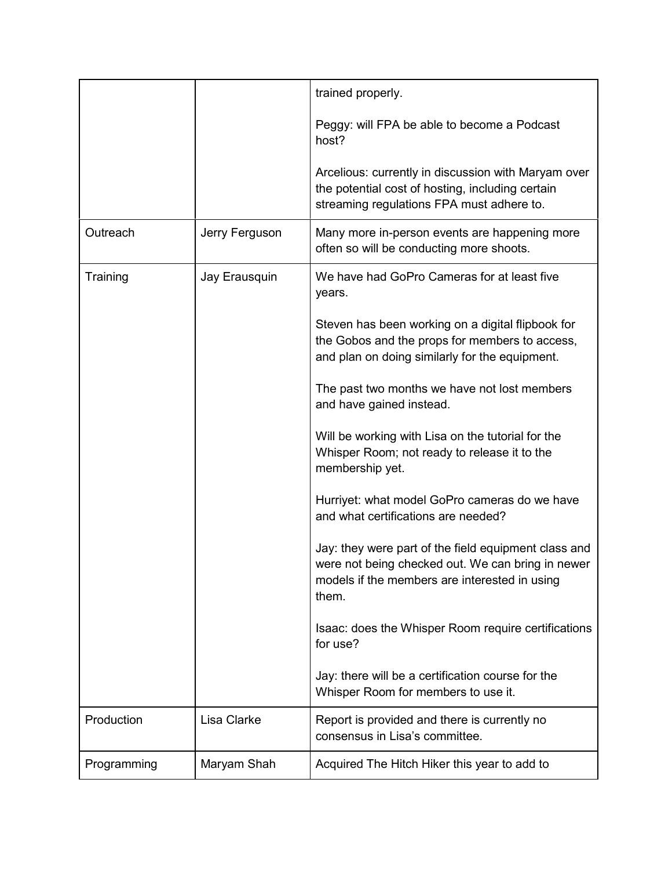|             |                | trained properly.                                                                                                                                                   |
|-------------|----------------|---------------------------------------------------------------------------------------------------------------------------------------------------------------------|
|             |                | Peggy: will FPA be able to become a Podcast<br>host?                                                                                                                |
|             |                | Arcelious: currently in discussion with Maryam over<br>the potential cost of hosting, including certain<br>streaming regulations FPA must adhere to.                |
| Outreach    | Jerry Ferguson | Many more in-person events are happening more<br>often so will be conducting more shoots.                                                                           |
| Training    | Jay Erausquin  | We have had GoPro Cameras for at least five<br>years.                                                                                                               |
|             |                | Steven has been working on a digital flipbook for<br>the Gobos and the props for members to access,<br>and plan on doing similarly for the equipment.               |
|             |                | The past two months we have not lost members<br>and have gained instead.                                                                                            |
|             |                | Will be working with Lisa on the tutorial for the<br>Whisper Room; not ready to release it to the<br>membership yet.                                                |
|             |                | Hurriyet: what model GoPro cameras do we have<br>and what certifications are needed?                                                                                |
|             |                | Jay: they were part of the field equipment class and<br>were not being checked out. We can bring in newer<br>models if the members are interested in using<br>them. |
|             |                | Isaac: does the Whisper Room require certifications<br>for use?                                                                                                     |
|             |                | Jay: there will be a certification course for the<br>Whisper Room for members to use it.                                                                            |
| Production  | Lisa Clarke    | Report is provided and there is currently no<br>consensus in Lisa's committee.                                                                                      |
| Programming | Maryam Shah    | Acquired The Hitch Hiker this year to add to                                                                                                                        |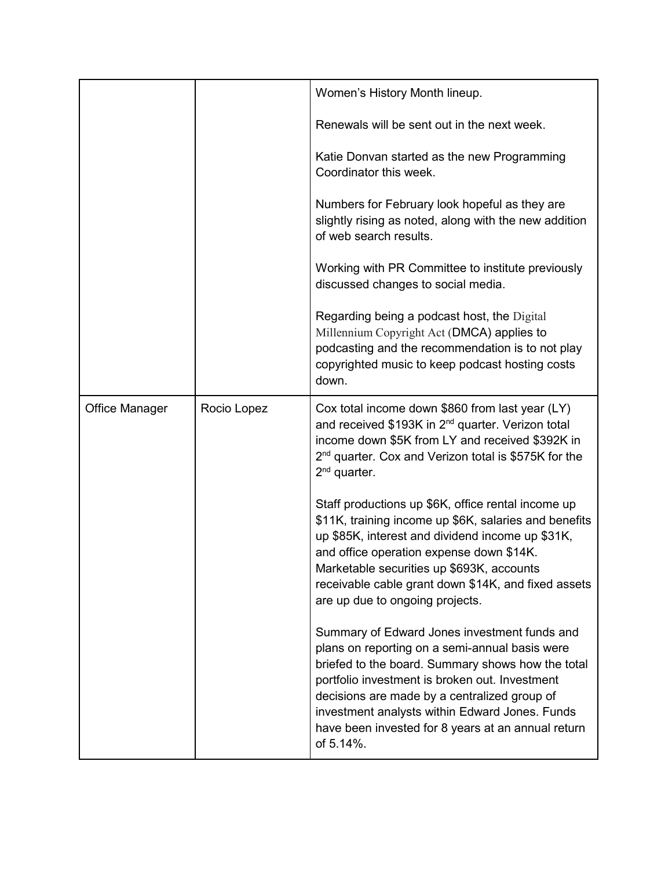|                       |             | Women's History Month lineup.                                                                                                                                                                                                                                                                                                                                              |
|-----------------------|-------------|----------------------------------------------------------------------------------------------------------------------------------------------------------------------------------------------------------------------------------------------------------------------------------------------------------------------------------------------------------------------------|
|                       |             | Renewals will be sent out in the next week.                                                                                                                                                                                                                                                                                                                                |
|                       |             | Katie Donvan started as the new Programming<br>Coordinator this week.                                                                                                                                                                                                                                                                                                      |
|                       |             | Numbers for February look hopeful as they are<br>slightly rising as noted, along with the new addition<br>of web search results.                                                                                                                                                                                                                                           |
|                       |             | Working with PR Committee to institute previously<br>discussed changes to social media.                                                                                                                                                                                                                                                                                    |
|                       |             | Regarding being a podcast host, the Digital<br>Millennium Copyright Act (DMCA) applies to<br>podcasting and the recommendation is to not play<br>copyrighted music to keep podcast hosting costs<br>down.                                                                                                                                                                  |
| <b>Office Manager</b> | Rocio Lopez | Cox total income down \$860 from last year (LY)<br>and received \$193K in 2 <sup>nd</sup> quarter. Verizon total<br>income down \$5K from LY and received \$392K in<br>2 <sup>nd</sup> quarter. Cox and Verizon total is \$575K for the<br>$2nd$ quarter.                                                                                                                  |
|                       |             | Staff productions up \$6K, office rental income up<br>\$11K, training income up \$6K, salaries and benefits<br>up \$85K, interest and dividend income up \$31K,<br>and office operation expense down \$14K.<br>Marketable securities up \$693K, accounts<br>receivable cable grant down \$14K, and fixed assets<br>are up due to ongoing projects.                         |
|                       |             | Summary of Edward Jones investment funds and<br>plans on reporting on a semi-annual basis were<br>briefed to the board. Summary shows how the total<br>portfolio investment is broken out. Investment<br>decisions are made by a centralized group of<br>investment analysts within Edward Jones. Funds<br>have been invested for 8 years at an annual return<br>of 5.14%. |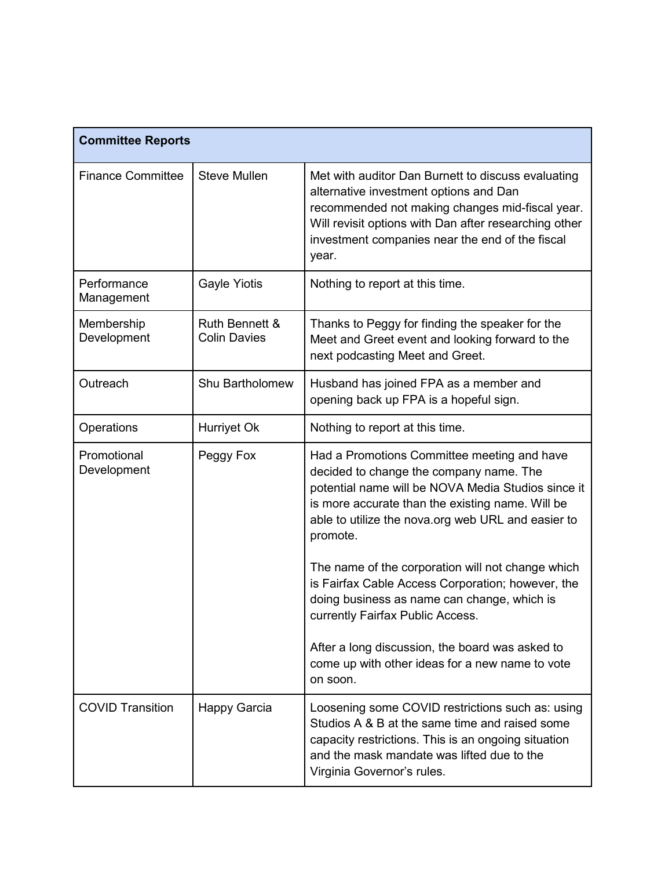| <b>Committee Reports</b>   |                                                  |                                                                                                                                                                                                                                                                      |
|----------------------------|--------------------------------------------------|----------------------------------------------------------------------------------------------------------------------------------------------------------------------------------------------------------------------------------------------------------------------|
| <b>Finance Committee</b>   | <b>Steve Mullen</b>                              | Met with auditor Dan Burnett to discuss evaluating<br>alternative investment options and Dan<br>recommended not making changes mid-fiscal year.<br>Will revisit options with Dan after researching other<br>investment companies near the end of the fiscal<br>year. |
| Performance<br>Management  | <b>Gayle Yiotis</b>                              | Nothing to report at this time.                                                                                                                                                                                                                                      |
| Membership<br>Development  | <b>Ruth Bennett &amp;</b><br><b>Colin Davies</b> | Thanks to Peggy for finding the speaker for the<br>Meet and Greet event and looking forward to the<br>next podcasting Meet and Greet.                                                                                                                                |
| Outreach                   | Shu Bartholomew                                  | Husband has joined FPA as a member and<br>opening back up FPA is a hopeful sign.                                                                                                                                                                                     |
| Operations                 | Hurriyet Ok                                      | Nothing to report at this time.                                                                                                                                                                                                                                      |
| Promotional<br>Development | Peggy Fox                                        | Had a Promotions Committee meeting and have<br>decided to change the company name. The<br>potential name will be NOVA Media Studios since it<br>is more accurate than the existing name. Will be<br>able to utilize the nova.org web URL and easier to<br>promote.   |
|                            |                                                  | The name of the corporation will not change which<br>is Fairfax Cable Access Corporation; however, the<br>doing business as name can change, which is<br>currently Fairfax Public Access.                                                                            |
|                            |                                                  | After a long discussion, the board was asked to<br>come up with other ideas for a new name to vote<br>on soon.                                                                                                                                                       |
| <b>COVID Transition</b>    | Happy Garcia                                     | Loosening some COVID restrictions such as: using<br>Studios A & B at the same time and raised some<br>capacity restrictions. This is an ongoing situation<br>and the mask mandate was lifted due to the<br>Virginia Governor's rules.                                |